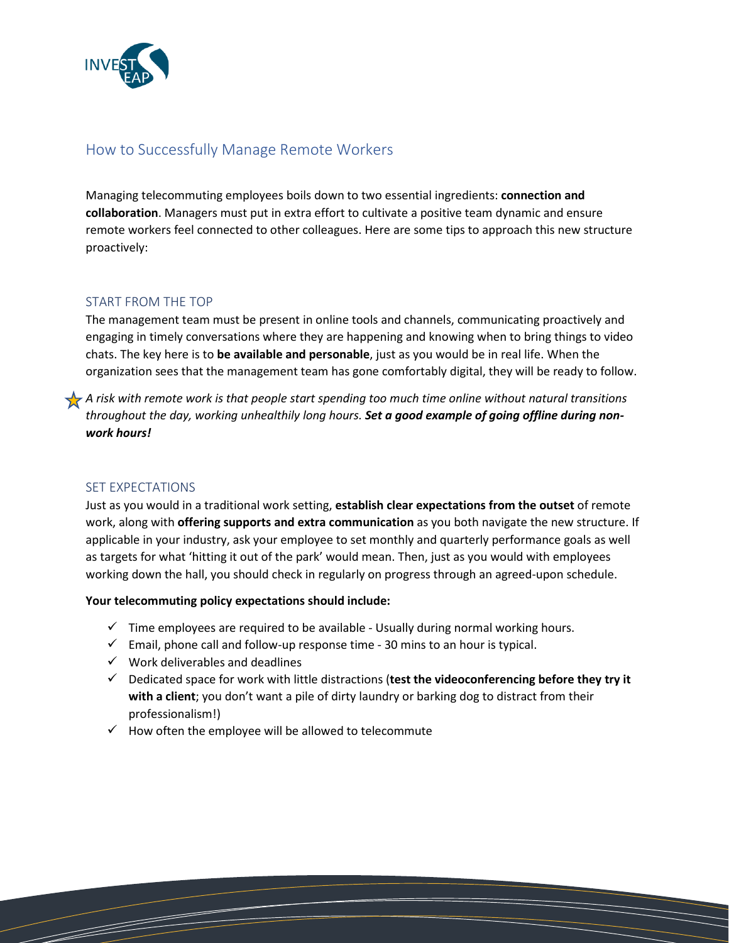

# How to Successfully Manage Remote Workers

Managing telecommuting employees boils down to two essential ingredients: **connection and collaboration**. Managers must put in extra effort to cultivate a positive team dynamic and ensure remote workers feel connected to other colleagues. Here are some tips to approach this new structure proactively:

### START FROM THE TOP

The management team must be present in online tools and channels, communicating proactively and engaging in timely conversations where they are happening and knowing when to bring things to video chats. The key here is to **be available and personable**, just as you would be in real life. When the organization sees that the management team has gone comfortably digital, they will be ready to follow.

*A risk with remote work is that people start spending too much time online without natural transitions throughout the day, working unhealthily long hours. Set a good example of going offline during nonwork hours!* 

### SET EXPECTATIONS

Just as you would in a traditional work setting, **establish clear expectations from the outset** of remote work, along with **offering supports and extra communication** as you both navigate the new structure. If applicable in your industry, ask your employee to set monthly and quarterly performance goals as well as targets for what 'hitting it out of the park' would mean. Then, just as you would with employees working down the hall, you should check in regularly on progress through an agreed-upon schedule.

#### **Your telecommuting policy expectations should include:**

- $\checkmark$  Time employees are required to be available Usually during normal working hours.
- $\checkmark$  Email, phone call and follow-up response time 30 mins to an hour is typical.
- $\checkmark$  Work deliverables and deadlines
- Dedicated space for work with little distractions (**test the videoconferencing before they try it with a client**; you don't want a pile of dirty laundry or barking dog to distract from their professionalism!)
- $\checkmark$  How often the employee will be allowed to telecommute